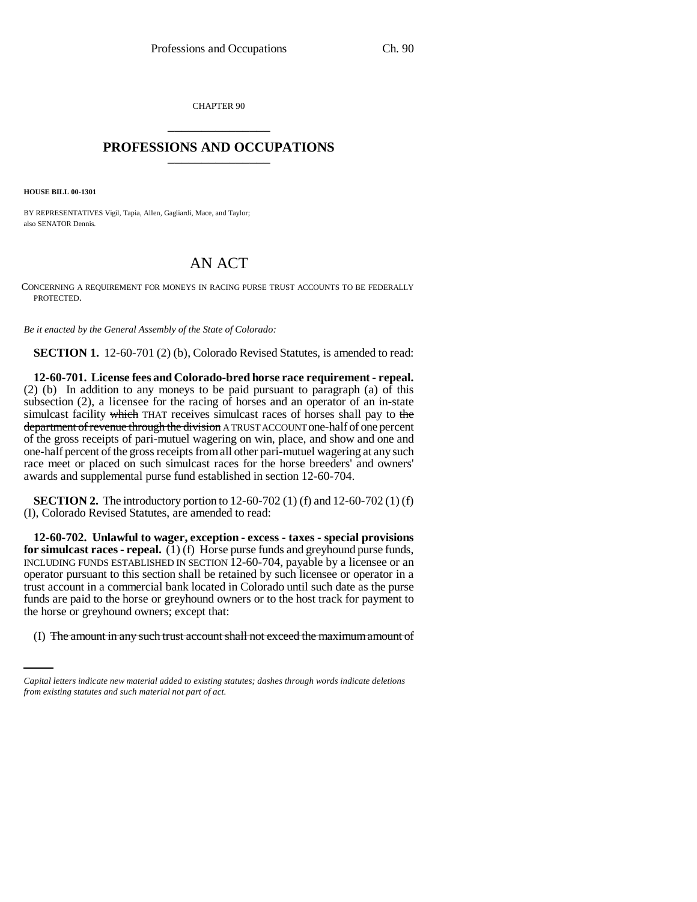CHAPTER 90 \_\_\_\_\_\_\_\_\_\_\_\_\_\_\_

## **PROFESSIONS AND OCCUPATIONS** \_\_\_\_\_\_\_\_\_\_\_\_\_\_\_

**HOUSE BILL 00-1301** 

BY REPRESENTATIVES Vigil, Tapia, Allen, Gagliardi, Mace, and Taylor; also SENATOR Dennis.

## AN ACT

CONCERNING A REQUIREMENT FOR MONEYS IN RACING PURSE TRUST ACCOUNTS TO BE FEDERALLY PROTECTED.

*Be it enacted by the General Assembly of the State of Colorado:*

**SECTION 1.** 12-60-701 (2) (b), Colorado Revised Statutes, is amended to read:

**12-60-701. License fees and Colorado-bred horse race requirement - repeal.** (2) (b) In addition to any moneys to be paid pursuant to paragraph (a) of this subsection (2), a licensee for the racing of horses and an operator of an in-state simulcast facility which THAT receives simulcast races of horses shall pay to the department of revenue through the division A TRUST ACCOUNT one-half of one percent of the gross receipts of pari-mutuel wagering on win, place, and show and one and one-half percent of the gross receipts from all other pari-mutuel wagering at any such race meet or placed on such simulcast races for the horse breeders' and owners' awards and supplemental purse fund established in section 12-60-704.

**SECTION 2.** The introductory portion to 12-60-702 (1) (f) and 12-60-702 (1) (f) (I), Colorado Revised Statutes, are amended to read:

the horse or greyhound owners; except that: **12-60-702. Unlawful to wager, exception - excess - taxes - special provisions for simulcast races - repeal.** (1) (f) Horse purse funds and greyhound purse funds, INCLUDING FUNDS ESTABLISHED IN SECTION 12-60-704, payable by a licensee or an operator pursuant to this section shall be retained by such licensee or operator in a trust account in a commercial bank located in Colorado until such date as the purse funds are paid to the horse or greyhound owners or to the host track for payment to

(I) The amount in any such trust account shall not exceed the maximum amount of

*Capital letters indicate new material added to existing statutes; dashes through words indicate deletions from existing statutes and such material not part of act.*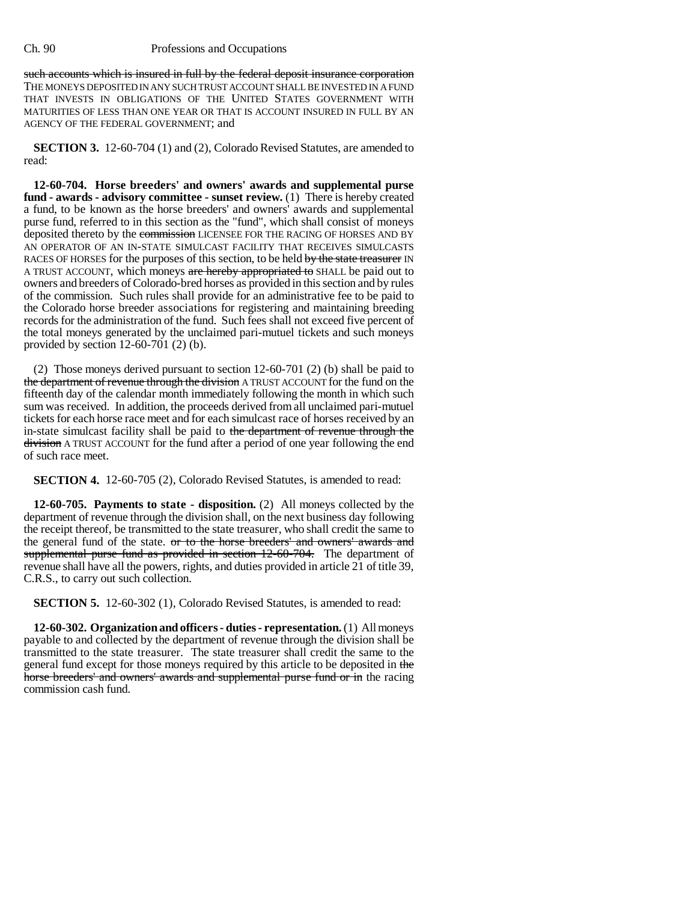## Ch. 90 Professions and Occupations

such accounts which is insured in full by the federal deposit insurance corporation THE MONEYS DEPOSITED IN ANY SUCH TRUST ACCOUNT SHALL BE INVESTED IN A FUND THAT INVESTS IN OBLIGATIONS OF THE UNITED STATES GOVERNMENT WITH MATURITIES OF LESS THAN ONE YEAR OR THAT IS ACCOUNT INSURED IN FULL BY AN AGENCY OF THE FEDERAL GOVERNMENT; and

**SECTION 3.** 12-60-704 (1) and (2), Colorado Revised Statutes, are amended to read:

**12-60-704. Horse breeders' and owners' awards and supplemental purse fund - awards - advisory committee - sunset review.** (1) There is hereby created a fund, to be known as the horse breeders' and owners' awards and supplemental purse fund, referred to in this section as the "fund", which shall consist of moneys deposited thereto by the commission LICENSEE FOR THE RACING OF HORSES AND BY AN OPERATOR OF AN IN-STATE SIMULCAST FACILITY THAT RECEIVES SIMULCASTS RACES OF HORSES for the purposes of this section, to be held by the state treasurer IN A TRUST ACCOUNT, which moneys are hereby appropriated to SHALL be paid out to owners and breeders of Colorado-bred horses as provided in this section and by rules of the commission. Such rules shall provide for an administrative fee to be paid to the Colorado horse breeder associations for registering and maintaining breeding records for the administration of the fund. Such fees shall not exceed five percent of the total moneys generated by the unclaimed pari-mutuel tickets and such moneys provided by section 12-60-701 (2) (b).

(2) Those moneys derived pursuant to section 12-60-701 (2) (b) shall be paid to the department of revenue through the division A TRUST ACCOUNT for the fund on the fifteenth day of the calendar month immediately following the month in which such sum was received. In addition, the proceeds derived from all unclaimed pari-mutuel tickets for each horse race meet and for each simulcast race of horses received by an in-state simulcast facility shall be paid to the department of revenue through the division A TRUST ACCOUNT for the fund after a period of one year following the end of such race meet.

**SECTION 4.** 12-60-705 (2), Colorado Revised Statutes, is amended to read:

**12-60-705. Payments to state - disposition.** (2) All moneys collected by the department of revenue through the division shall, on the next business day following the receipt thereof, be transmitted to the state treasurer, who shall credit the same to the general fund of the state. <del>or to the horse breeders' and owners' awards and</del> supplemental purse fund as provided in section 12-60-704. The department of revenue shall have all the powers, rights, and duties provided in article 21 of title 39, C.R.S., to carry out such collection.

**SECTION 5.** 12-60-302 (1), Colorado Revised Statutes, is amended to read:

**12-60-302. Organization and officers - duties - representation.** (1) All moneys payable to and collected by the department of revenue through the division shall be transmitted to the state treasurer. The state treasurer shall credit the same to the general fund except for those moneys required by this article to be deposited in the horse breeders' and owners' awards and supplemental purse fund or in the racing commission cash fund.